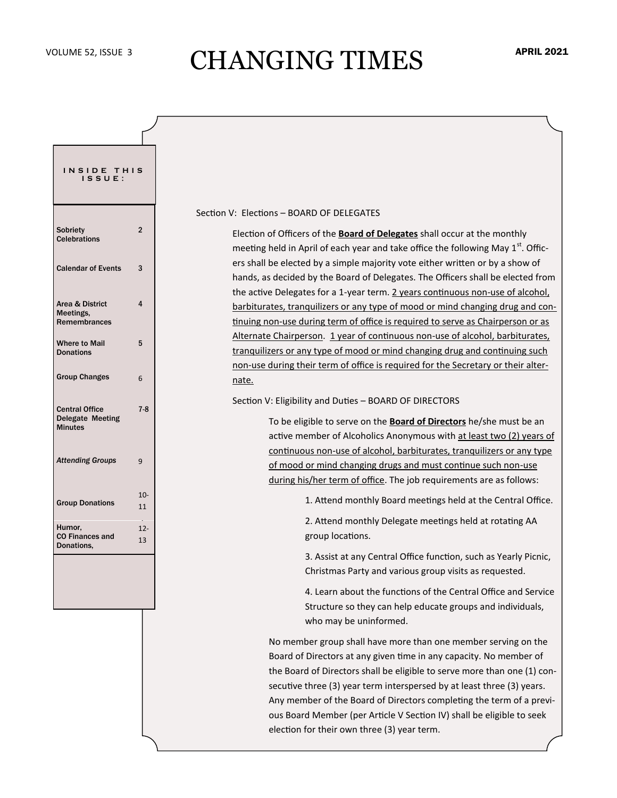## VOLUME 52, ISSUE 3 CHANGING TIMES

| INSIDE THIS<br>ISSUE:                                       |                |
|-------------------------------------------------------------|----------------|
| Sobriety<br><b>Celebrations</b>                             | $\overline{2}$ |
| <b>Calendar of Events</b>                                   | 3              |
| Area & District<br>Meetings,<br><b>Remembrances</b>         | 4              |
| <b>Where to Mail</b><br><b>Donations</b>                    | 5              |
| <b>Group Changes</b>                                        | 6              |
| <b>Central Office</b><br>Delegate Meeting<br><b>Minutes</b> | $7 - 8$        |
| <b>Attending Groups</b>                                     | 9              |
| <b>Group Donations</b>                                      | $10 -$<br>11   |
| Humor,<br><b>CO Finances and</b><br>Donations.              | $12 -$<br>13   |
|                                                             |                |

#### Section V: Elections – BOARD OF DELEGATES

Election of Officers of the **Board of Delegates** shall occur at the monthly meeting held in April of each year and take office the following May  $1<sup>st</sup>$ . Officers shall be elected by a simple majority vote either written or by a show of hands, as decided by the Board of Delegates. The Officers shall be elected from the active Delegates for a 1-year term. 2 years continuous non-use of alcohol, barbiturates, tranquilizers or any type of mood or mind changing drug and continuing non-use during term of office is required to serve as Chairperson or as Alternate Chairperson. 1 year of continuous non-use of alcohol, barbiturates, tranquilizers or any type of mood or mind changing drug and continuing such non-use during their term of office is required for the Secretary or their alternate.

Section V: Eligibility and Duties – BOARD OF DIRECTORS

To be eligible to serve on the **Board of Directors** he/she must be an active member of Alcoholics Anonymous with at least two (2) years of continuous non-use of alcohol, barbiturates, tranquilizers or any type of mood or mind changing drugs and must continue such non-use during his/her term of office. The job requirements are as follows:

1. Attend monthly Board meetings held at the Central Office.

2. Attend monthly Delegate meetings held at rotating AA group locations.

3. Assist at any Central Office function, such as Yearly Picnic, Christmas Party and various group visits as requested.

4. Learn about the functions of the Central Office and Service Structure so they can help educate groups and individuals, who may be uninformed.

No member group shall have more than one member serving on the Board of Directors at any given time in any capacity. No member of the Board of Directors shall be eligible to serve more than one (1) consecutive three (3) year term interspersed by at least three (3) years. Any member of the Board of Directors completing the term of a previous Board Member (per Article V Section IV) shall be eligible to seek election for their own three (3) year term.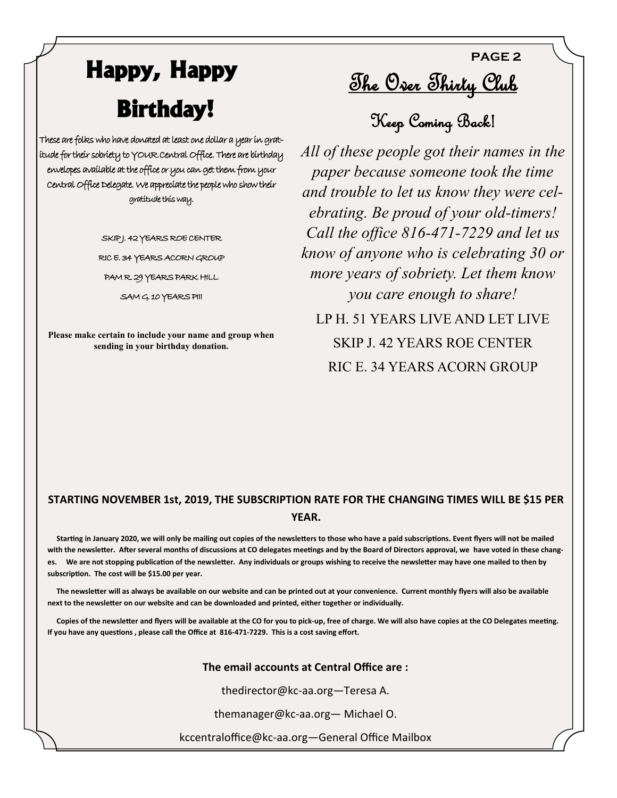# **Happy, Happy Birthday!**

These are folks who have donated at least one dollar a year in gratitude for their sobriety to YOUR Central Office. There are birthday envelopes available at the office or you can get them from your Central Office Delegate. We appreciate the people who show their gratitude this way.

> SKIP J. 42 YEARS ROE CENTER RIC E. 34 YEARS ACORN GROUP

PAM R. 29 YEARS PARK HILL

SAM G. 10 YEARS PIII

**Please make certain to include your name and group when sending in your birthday donation.**

<u>The Over Thirty Club</u>

**PAGE 2**

Keep Coming Back!

*All of these people got their names in the paper because someone took the time and trouble to let us know they were celebrating. Be proud of your old-timers! Call the office 816-471-7229 and let us know of anyone who is celebrating 30 or more years of sobriety. Let them know you care enough to share!* 

LP H. 51 YEARS LIVE AND LET LIVE SKIP J. 42 YEARS ROE CENTER RIC E. 34 YEARS ACORN GROUP

### **STARTING NOVEMBER 1st, 2019, THE SUBSCRIPTION RATE FOR THE CHANGING TIMES WILL BE \$15 PER YEAR.**

 **Starting in January 2020, we will only be mailing out copies of the newsletters to those who have a paid subscriptions. Event flyers will not be mailed with the newsletter. After several months of discussions at CO delegates meetings and by the Board of Directors approval, we have voted in these changes. We are not stopping publication of the newsletter. Any individuals or groups wishing to receive the newsletter may have one mailed to then by subscription. The cost will be \$15.00 per year.**

 **The newsletter will as always be available on our website and can be printed out at your convenience. Current monthly flyers will also be available next to the newsletter on our website and can be downloaded and printed, either together or individually.**

 **Copies of the newsletter and flyers will be available at the CO for you to pick-up, free of charge. We will also have copies at the CO Delegates meeting. If you have any questions , please call the Office at 816-471-7229. This is a cost saving effort.**

#### **The email accounts at Central Office are :**

thedirector@kc-aa.org—Teresa A.

themanager@kc-aa.org— Michael O.

kccentraloffice@kc-aa.org—General Office Mailbox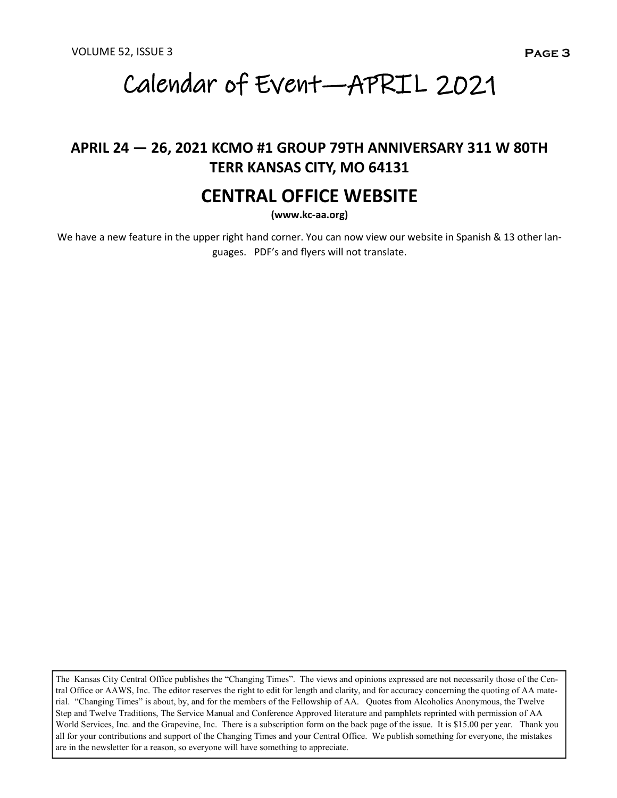# Calendar of Event—APRIL 2021

### **APRIL 24 — 26, 2021 KCMO #1 GROUP 79TH ANNIVERSARY 311 W 80TH TERR KANSAS CITY, MO 64131**

### **CENTRAL OFFICE WEBSITE**

**(www.kc-aa.org)**

We have a new feature in the upper right hand corner. You can now view our website in Spanish & 13 other languages. PDF's and flyers will not translate.

The Kansas City Central Office publishes the "Changing Times". The views and opinions expressed are not necessarily those of the Central Office or AAWS, Inc. The editor reserves the right to edit for length and clarity, and for accuracy concerning the quoting of AA material. "Changing Times" is about, by, and for the members of the Fellowship of AA. Quotes from Alcoholics Anonymous, the Twelve Step and Twelve Traditions, The Service Manual and Conference Approved literature and pamphlets reprinted with permission of AA World Services, Inc. and the Grapevine, Inc. There is a subscription form on the back page of the issue. It is \$15.00 per year. Thank you all for your contributions and support of the Changing Times and your Central Office. We publish something for everyone, the mistakes are in the newsletter for a reason, so everyone will have something to appreciate.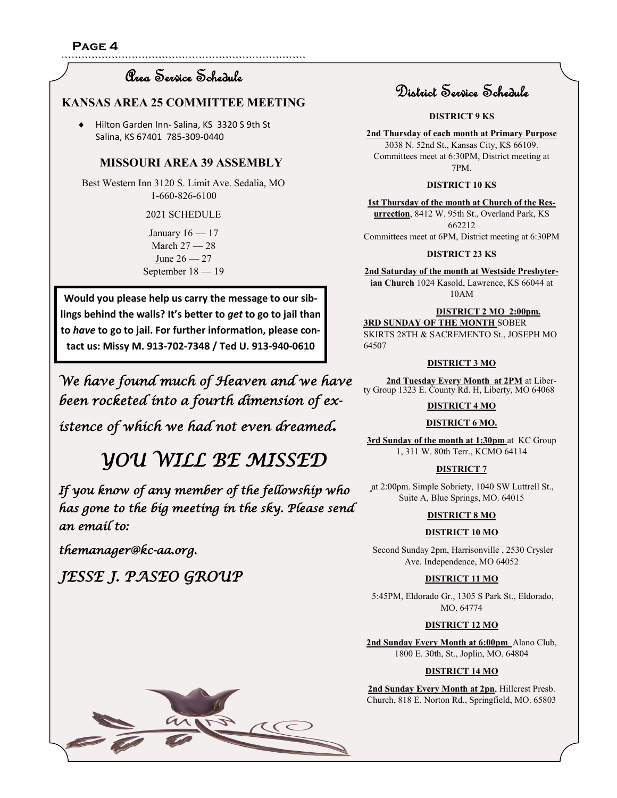`````````````````````````````````````````````````````````````````````````

### Area Service Schedule

#### **KANSAS AREA 25 COMMITTEE MEETING**

 Hilton Garden Inn- Salina, KS 3320 S 9th St Salina, KS 67401 785-309-0440

#### **MISSOURI AREA 39 ASSEMBLY**

Best Western Inn 3120 S. Limit Ave. Sedalia, MO 1-660-826-6100

#### 2021 SCHEDULE

January  $16 - 17$ March 27 — 28 June 26 — 27 September 18 — 19

**Would you please help us carry the message to our siblings behind the walls? It's better to** *get* **to go to jail than to** *have* **to go to jail. For further information, please contact us: Missy M. 913-702-7348 / Ted U. 913-940-0610**

*We have found much of Heaven and we have been rocketed into a fourth dimension of ex-*

*istence of which we had not even dreamed.* 

 *YOU WILL BE MISSED* 

*If you know of any member of the fellowship who has gone to the big meeting in the sky. Please send an email to:* 

*themanager@kc-aa.org.* 

*JESSE J. PASEO GROUP* 



### District Service Schedule

#### **DISTRICT 9 KS**

**2nd Thursday of each month at Primary Purpose** 3038 N. 52nd St., Kansas City, KS 66109. Committees meet at 6:30PM, District meeting at 7PM.

#### **DISTRICT 10 KS**

**1st Thursday of the month at Church of the Resurrection**, 8412 W. 95th St., Overland Park, KS 662212 Committees meet at 6PM, District meeting at 6:30PM

#### **DISTRICT 23 KS**

**2nd Saturday of the month at Westside Presbyterian Church** 1024 Kasold, Lawrence, KS 66044 at 10AM

#### **DISTRICT 2 MO 2:00pm.**

**3RD SUNDAY OF THE MONTH** SOBER SKIRTS 28TH & SACREMENTO St., JOSEPH MO 64507

#### **DISTRICT 3 MO**

2nd Tuesday Every Month at 2PM at Liberty Group 1323 E. County Rd. H, Liberty, MO 64068

#### **DISTRICT 4 MO**

#### **DISTRICT 6 MO.**

**3rd Sunday of the month at 1:30pm** at KC Group 1, 311 W. 80th Terr., KCMO 64114

#### **DISTRICT 7**

at 2:00pm. Simple Sobriety, 1040 SW Luttrell St., Suite A, Blue Springs, MO. 64015

#### **DISTRICT 8 MO**

#### **DISTRICT 10 MO**

Second Sunday 2pm, Harrisonville , 2530 Crysler Ave. Independence, MO 64052

#### **DISTRICT 11 MO**

5:45PM, Eldorado Gr., 1305 S Park St., Eldorado, MO. 64774

#### **DISTRICT 12 MO**

**2nd Sunday Every Month at 6:00pm** Alano Club, 1800 E. 30th, St., Joplin, MO. 64804

#### **DISTRICT 14 MO**

**2nd Sunday Every Month at 2pn**, Hillcrest Presb. Church, 818 E. Norton Rd., Springfield, MO. 65803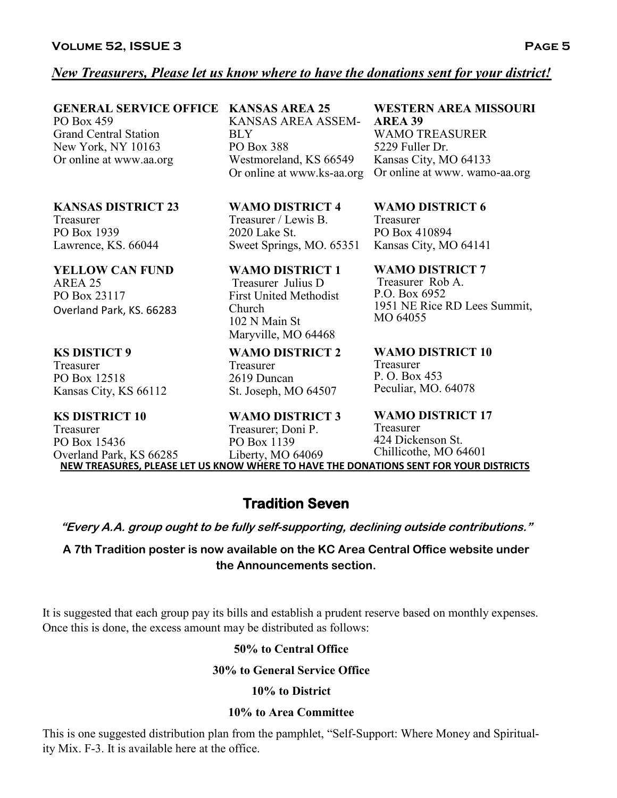### *New Treasurers, Please let us know where to have the donations sent for your district!*

**GENERAL SERVICE OFFICE KANSAS AREA 25**  PO Box 459 Grand Central Station New York, NY 10163 Or online at www.aa.org

**KANSAS DISTRICT 23**  Treasurer PO Box 1939 Lawrence, KS. 66044

**YELLOW CAN FUND** AREA 25 PO Box 23117 Overland Park, KS. 66283

#### **KS DISTICT 9**

Treasurer PO Box 12518 Kansas City, KS 66112

#### **KS DISTRICT 10**

Treasurer PO Box 15436 Overland Park, KS 66285 **NEW TREASURES, PLEASE LET US KNOW WHERE TO HAVE THE DONATIONS SENT FOR YOUR DISTRICTS**

KANSAS AREA ASSEM-BLY PO Box 388 Westmoreland, KS 66549 Or online at www.ks-aa.org

**WAMO DISTRICT 4**  Treasurer / Lewis B. 2020 Lake St. Sweet Springs, MO. 65351

**WAMO DISTRICT 1** Treasurer Julius D First United Methodist Church 102 N Main St Maryville, MO 64468

**WAMO DISTRICT 2**  Treasurer 2619 Duncan St. Joseph, MO 64507

**WAMO DISTRICT 3**  Treasurer; Doni P. PO Box 1139 Liberty, MO 64069

**WESTERN AREA MISSOURI AREA 39**

WAMO TREASURER 5229 Fuller Dr. Kansas City, MO 64133 Or online at www. wamo-aa.org

**WAMO DISTRICT 6**  Treasurer

PO Box 410894 Kansas City, MO 64141

**WAMO DISTRICT 7** Treasurer Rob A. P.O. Box 6952 1951 NE Rice RD Lees Summit, MO 64055

**WAMO DISTRICT 10**  Treasurer P. O. Box 453 Peculiar, MO. 64078

**WAMO DISTRICT 17**  Treasurer 424 Dickenson St. Chillicothe, MO 64601

**Tradition Seven** 

**"Every A.A. group ought to be fully self-supporting, declining outside contributions."**

**A 7th Tradition poster is now available on the KC Area Central Office website under the Announcements section.**

It is suggested that each group pay its bills and establish a prudent reserve based on monthly expenses. Once this is done, the excess amount may be distributed as follows:

#### **50% to Central Office**

#### **30% to General Service Office**

#### **10% to District**

#### **10% to Area Committee**

This is one suggested distribution plan from the pamphlet, "Self-Support: Where Money and Spirituality Mix. F-3. It is available here at the office.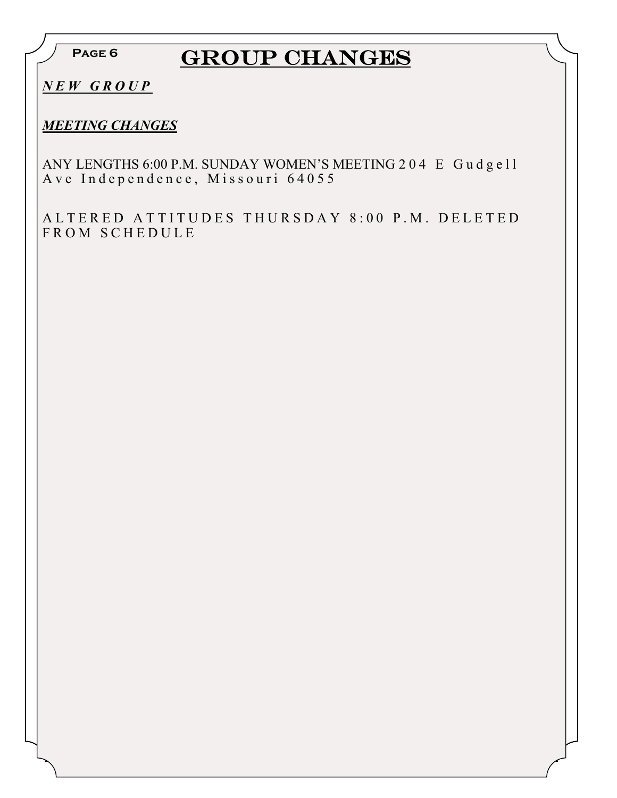**Page 6**

## GROUP CHANGES

*N E W G R O U P*

### *MEETING CHANGES*

ANY LENGTHS 6:00 P.M. SUNDAY WOMEN'S MEETING 204 E Gudgell A v e Independence, Missouri 64055

ALTERED ATTITUDES THURSDAY 8:00 P.M. DELETED FROM SCHEDULE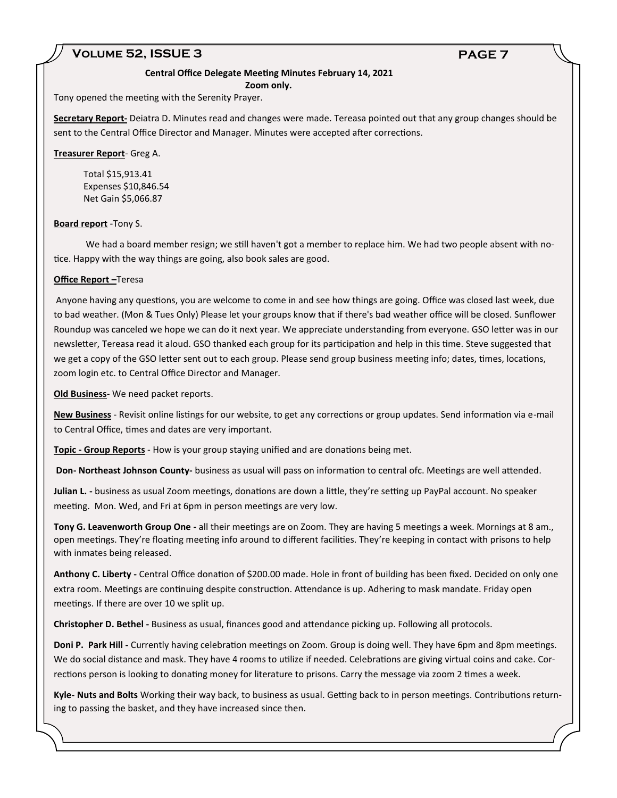#### **Volume 52, ISSUE 3 PAGE 7**

#### **Central Office Delegate Meeting Minutes February 14, 2021**

 **Zoom only.**

Tony opened the meeting with the Serenity Prayer.

**Secretary Report-** Deiatra D. Minutes read and changes were made. Tereasa pointed out that any group changes should be sent to the Central Office Director and Manager. Minutes were accepted after corrections.

**Treasurer Report**- Greg A.

 Total \$15,913.41 Expenses \$10,846.54 Net Gain \$5,066.87

#### **Board report** -Tony S.

 We had a board member resign; we still haven't got a member to replace him. We had two people absent with notice. Happy with the way things are going, also book sales are good.

#### **Office Report –**Teresa

Anyone having any questions, you are welcome to come in and see how things are going. Office was closed last week, due to bad weather. (Mon & Tues Only) Please let your groups know that if there's bad weather office will be closed. Sunflower Roundup was canceled we hope we can do it next year. We appreciate understanding from everyone. GSO letter was in our newsletter, Tereasa read it aloud. GSO thanked each group for its participation and help in this time. Steve suggested that we get a copy of the GSO letter sent out to each group. Please send group business meeting info; dates, times, locations, zoom login etc. to Central Office Director and Manager.

**Old Business**- We need packet reports.

**New Business** - Revisit online listings for our website, to get any corrections or group updates. Send information via e-mail to Central Office, times and dates are very important.

**Topic - Group Reports** - How is your group staying unified and are donations being met.

**Don- Northeast Johnson County-** business as usual will pass on information to central ofc. Meetings are well attended.

**Julian L. -** business as usual Zoom meetings, donations are down a little, they're setting up PayPal account. No speaker meeting. Mon. Wed, and Fri at 6pm in person meetings are very low.

**Tony G. Leavenworth Group One -** all their meetings are on Zoom. They are having 5 meetings a week. Mornings at 8 am., open meetings. They're floating meeting info around to different facilities. They're keeping in contact with prisons to help with inmates being released.

**Anthony C. Liberty -** Central Office donation of \$200.00 made. Hole in front of building has been fixed. Decided on only one extra room. Meetings are continuing despite construction. Attendance is up. Adhering to mask mandate. Friday open meetings. If there are over 10 we split up.

**Christopher D. Bethel -** Business as usual, finances good and attendance picking up. Following all protocols.

**Doni P. Park Hill -** Currently having celebration meetings on Zoom. Group is doing well. They have 6pm and 8pm meetings. We do social distance and mask. They have 4 rooms to utilize if needed. Celebrations are giving virtual coins and cake. Corrections person is looking to donating money for literature to prisons. Carry the message via zoom 2 times a week.

**Kyle- Nuts and Bolts** Working their way back, to business as usual. Getting back to in person meetings. Contributions returning to passing the basket, and they have increased since then.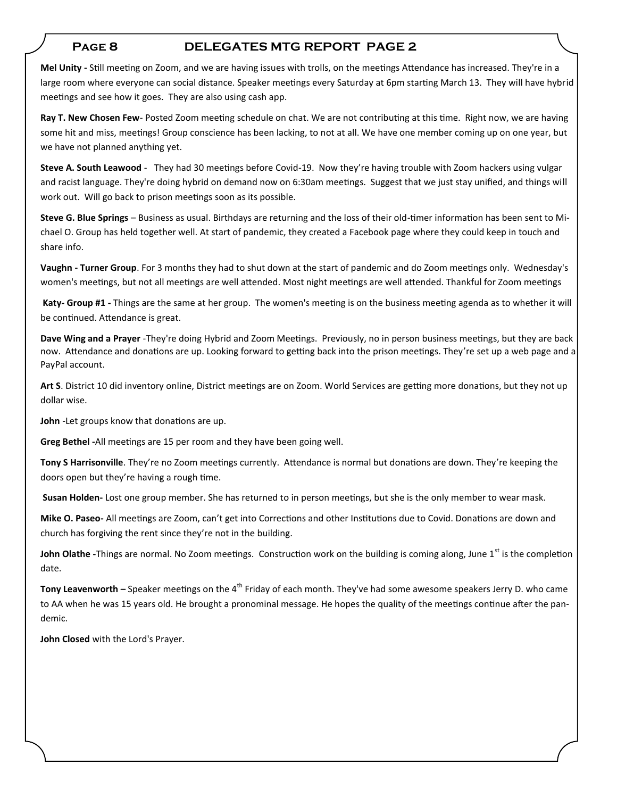#### **Page 8 DELEGATES MTG REPORT PAGE 2**

**Mel Unity -** Still meeting on Zoom, and we are having issues with trolls, on the meetings Attendance has increased. They're in a large room where everyone can social distance. Speaker meetings every Saturday at 6pm starting March 13. They will have hybrid meetings and see how it goes. They are also using cash app.

**Ray T. New Chosen Few**- Posted Zoom meeting schedule on chat. We are not contributing at this time. Right now, we are having some hit and miss, meetings! Group conscience has been lacking, to not at all. We have one member coming up on one year, but we have not planned anything yet.

**Steve A. South Leawood** - They had 30 meetings before Covid-19. Now they're having trouble with Zoom hackers using vulgar and racist language. They're doing hybrid on demand now on 6:30am meetings. Suggest that we just stay unified, and things will work out. Will go back to prison meetings soon as its possible.

**Steve G. Blue Springs** – Business as usual. Birthdays are returning and the loss of their old-timer information has been sent to Michael O. Group has held together well. At start of pandemic, they created a Facebook page where they could keep in touch and share info.

**Vaughn - Turner Group**. For 3 months they had to shut down at the start of pandemic and do Zoom meetings only. Wednesday's women's meetings, but not all meetings are well attended. Most night meetings are well attended. Thankful for Zoom meetings

**Katy- Group #1 -** Things are the same at her group. The women's meeting is on the business meeting agenda as to whether it will be continued. Attendance is great.

**Dave Wing and a Prayer** -They're doing Hybrid and Zoom Meetings. Previously, no in person business meetings, but they are back now. Attendance and donations are up. Looking forward to getting back into the prison meetings. They're set up a web page and a PayPal account.

**Art S**. District 10 did inventory online, District meetings are on Zoom. World Services are getting more donations, but they not up dollar wise.

**John** -Let groups know that donations are up.

**Greg Bethel -**All meetings are 15 per room and they have been going well.

**Tony S Harrisonville**. They're no Zoom meetings currently. Attendance is normal but donations are down. They're keeping the doors open but they're having a rough time.

**Susan Holden-** Lost one group member. She has returned to in person meetings, but she is the only member to wear mask.

**Mike O. Paseo-** All meetings are Zoom, can't get into Corrections and other Institutions due to Covid. Donations are down and church has forgiving the rent since they're not in the building.

**John Olathe** -Things are normal. No Zoom meetings. Construction work on the building is coming along, June 1<sup>st</sup> is the completion date.

**Tony Leavenworth –** Speaker meetings on the 4<sup>th</sup> Friday of each month. They've had some awesome speakers Jerry D. who came to AA when he was 15 years old. He brought a pronominal message. He hopes the quality of the meetings continue after the pandemic.

**John Closed** with the Lord's Prayer.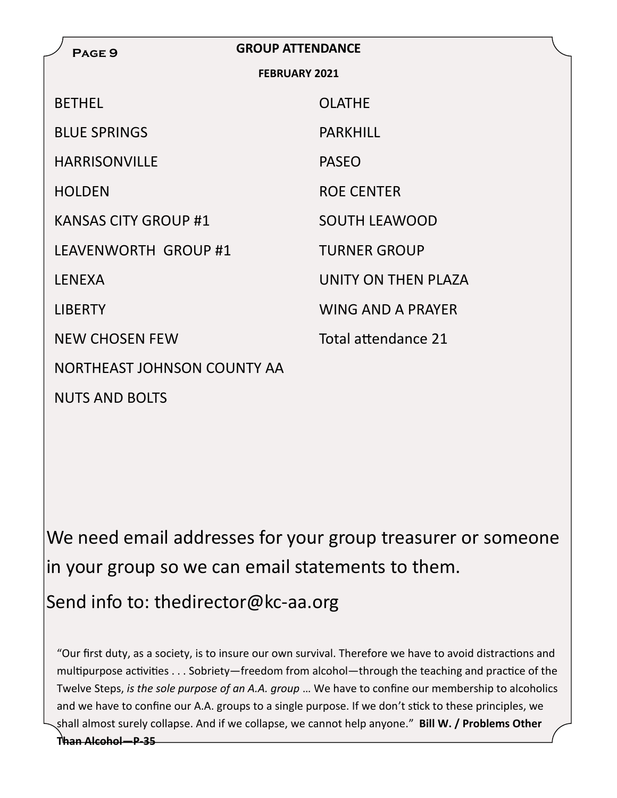| PAGE <sub>9</sub>           | <b>GROUP ATTENDANCE</b> |  |  |  |  |
|-----------------------------|-------------------------|--|--|--|--|
| <b>FEBRUARY 2021</b>        |                         |  |  |  |  |
| <b>BETHEL</b>               | <b>OLATHE</b>           |  |  |  |  |
| <b>BLUE SPRINGS</b>         | <b>PARKHILL</b>         |  |  |  |  |
| <b>HARRISONVILLE</b>        | <b>PASEO</b>            |  |  |  |  |
| <b>HOLDEN</b>               | <b>ROE CENTER</b>       |  |  |  |  |
| <b>KANSAS CITY GROUP #1</b> | <b>SOUTH LEAWOOD</b>    |  |  |  |  |
| LEAVENWORTH GROUP #1        | <b>TURNER GROUP</b>     |  |  |  |  |
| <b>LENEXA</b>               | UNITY ON THEN PLAZA     |  |  |  |  |
| <b>LIBERTY</b>              | WING AND A PRAYER       |  |  |  |  |
| <b>NEW CHOSEN FEW</b>       | Total attendance 21     |  |  |  |  |
| NORTHEAST JOHNSON COUNTY AA |                         |  |  |  |  |
| <b>NUTS AND BOLTS</b>       |                         |  |  |  |  |

We need email addresses for your group treasurer or someone in your group so we can email statements to them.

Send info to: thedirector@kc-aa.org

"Our first duty, as a society, is to insure our own survival. Therefore we have to avoid distractions and multipurpose activities . . . Sobriety—freedom from alcohol—through the teaching and practice of the Twelve Steps, *is the sole purpose of an A.A. group* … We have to confine our membership to alcoholics and we have to confine our A.A. groups to a single purpose. If we don't stick to these principles, we shall almost surely collapse. And if we collapse, we cannot help anyone." **Bill W. / Problems Other** 

**Than Alcohol—P-35**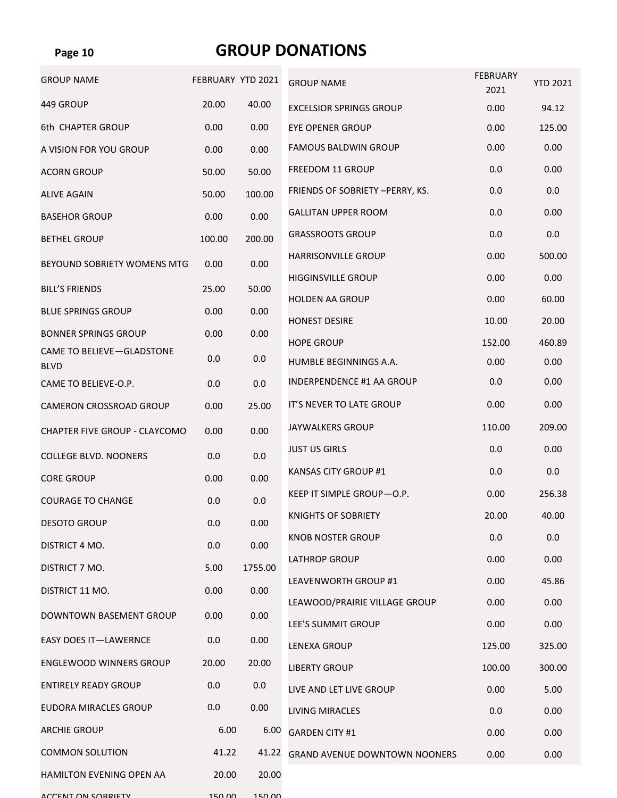### **Page 10**

### **GROUP DONATIONS**

| <b>GROUP NAME</b>                | FEBRUARY YTD 2021 |         | <b>GROUP NAME</b>                    | <b>FEBRUARY</b><br>2021 | <b>YTD 2021</b> |
|----------------------------------|-------------------|---------|--------------------------------------|-------------------------|-----------------|
| 449 GROUP                        | 20.00             | 40.00   | <b>EXCELSIOR SPRINGS GROUP</b>       | 0.00                    | 94.12           |
| 6th CHAPTER GROUP                | 0.00              | 0.00    | <b>EYE OPENER GROUP</b>              | 0.00                    | 125.00          |
| A VISION FOR YOU GROUP           | 0.00              | 0.00    | <b>FAMOUS BALDWIN GROUP</b>          | 0.00                    | 0.00            |
| <b>ACORN GROUP</b>               | 50.00             | 50.00   | <b>FREEDOM 11 GROUP</b>              | 0.0                     | 0.00            |
| <b>ALIVE AGAIN</b>               | 50.00             | 100.00  | FRIENDS OF SOBRIETY - PERRY, KS.     | 0.0                     | 0.0             |
| <b>BASEHOR GROUP</b>             | 0.00              | 0.00    | <b>GALLITAN UPPER ROOM</b>           | 0.0                     | 0.00            |
| <b>BETHEL GROUP</b>              | 100.00            | 200.00  | <b>GRASSROOTS GROUP</b>              | 0.0                     | 0.0             |
| BEYOUND SOBRIETY WOMENS MTG      | 0.00              | 0.00    | <b>HARRISONVILLE GROUP</b>           | 0.00                    | 500.00          |
| <b>BILL'S FRIENDS</b>            | 25.00             | 50.00   | <b>HIGGINSVILLE GROUP</b>            | 0.00                    | 0.00            |
| <b>BLUE SPRINGS GROUP</b>        | 0.00              | 0.00    | <b>HOLDEN AA GROUP</b>               | 0.00                    | 60.00           |
| <b>BONNER SPRINGS GROUP</b>      | 0.00              | 0.00    | <b>HONEST DESIRE</b>                 | 10.00                   | 20.00           |
| <b>CAME TO BELIEVE-GLADSTONE</b> |                   |         | <b>HOPE GROUP</b>                    | 152.00                  | 460.89          |
| <b>BLVD</b>                      | 0.0               | 0.0     | HUMBLE BEGINNINGS A.A.               | 0.00                    | 0.00            |
| CAME TO BELIEVE-O.P.             | 0.0               | 0.0     | <b>INDERPENDENCE #1 AA GROUP</b>     | 0.0                     | 0.00            |
| CAMERON CROSSROAD GROUP          | 0.00              | 25.00   | IT'S NEVER TO LATE GROUP             | 0.00                    | 0.00            |
| CHAPTER FIVE GROUP - CLAYCOMO    | 0.00              | 0.00    | <b>JAYWALKERS GROUP</b>              | 110.00                  | 209.00          |
| <b>COLLEGE BLVD. NOONERS</b>     | 0.0               | 0.0     | <b>JUST US GIRLS</b>                 | 0.0                     | 0.00            |
| <b>CORE GROUP</b>                | 0.00              | 0.00    | <b>KANSAS CITY GROUP #1</b>          | 0.0                     | 0.0             |
| <b>COURAGE TO CHANGE</b>         | 0.0               | 0.0     | KEEP IT SIMPLE GROUP-O.P.            | 0.00                    | 256.38          |
| <b>DESOTO GROUP</b>              | 0.0               | 0.00    | KNIGHTS OF SOBRIETY                  | 20.00                   | 40.00           |
| DISTRICT 4 MO.                   | 0.0               | 0.00    | <b>KNOB NOSTER GROUP</b>             | 0.0                     | 0.0             |
| DISTRICT 7 MO.                   | 5.00              | 1755.00 | <b>LATHROP GROUP</b>                 | 0.00                    | 0.00            |
| DISTRICT 11 MO.                  | 0.00              | 0.00    | LEAVENWORTH GROUP #1                 | 0.00                    | 45.86           |
| DOWNTOWN BASEMENT GROUP          | 0.00              | 0.00    | LEAWOOD/PRAIRIE VILLAGE GROUP        | 0.00                    | 0.00            |
|                                  |                   |         | LEE'S SUMMIT GROUP                   | 0.00                    | 0.00            |
| <b>EASY DOES IT-LAWERNCE</b>     | 0.0               | 0.00    | <b>LENEXA GROUP</b>                  | 125.00                  | 325.00          |
| <b>ENGLEWOOD WINNERS GROUP</b>   | 20.00             | 20.00   | <b>LIBERTY GROUP</b>                 | 100.00                  | 300.00          |
| <b>ENTIRELY READY GROUP</b>      | 0.0               | 0.0     | LIVE AND LET LIVE GROUP              | 0.00                    | 5.00            |
| <b>EUDORA MIRACLES GROUP</b>     | 0.0               | 0.00    | <b>LIVING MIRACLES</b>               | 0.0                     | 0.00            |
| <b>ARCHIE GROUP</b>              | 6.00              | 6.00    | <b>GARDEN CITY #1</b>                | 0.00                    | 0.00            |
| <b>COMMON SOLUTION</b>           | 41.22             | 41.22   | <b>GRAND AVENUE DOWNTOWN NOONERS</b> | 0.00                    | 0.00            |
| HAMILTON EVENING OPEN AA         | 20.00             | 20.00   |                                      |                         |                 |
| ACCENT ON CORRIETY               | 150,00            | 150.00  |                                      |                         |                 |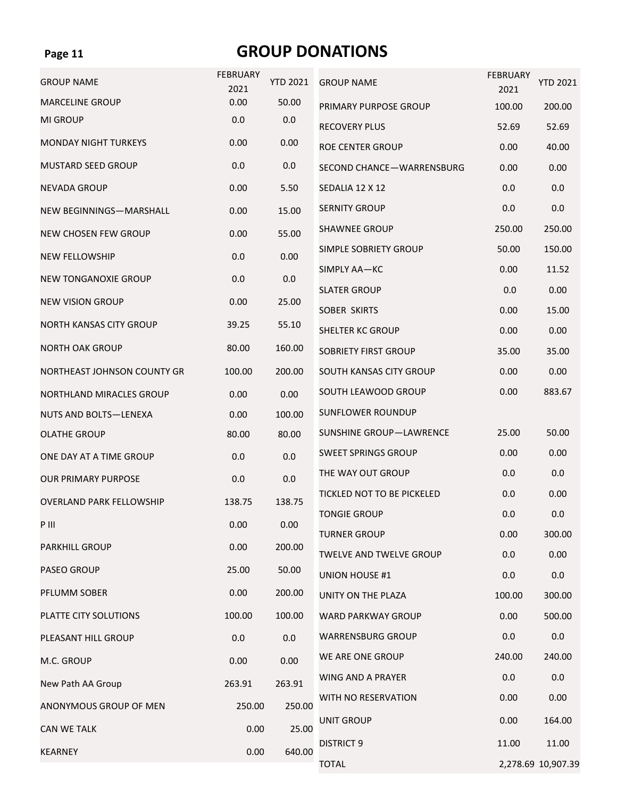#### **Page 11**

## **GROUP DONATIONS**

| <b>GROUP NAME</b>               | <b>FEBRUARY</b><br>2021 | <b>YTD 2021</b> | <b>GROUP NAME</b>              | <b>FEBRUARY</b><br>2021 | <b>YTD 2021</b>    |
|---------------------------------|-------------------------|-----------------|--------------------------------|-------------------------|--------------------|
| <b>MARCELINE GROUP</b>          | 0.00                    | 50.00           | PRIMARY PURPOSE GROUP          | 100.00                  | 200.00             |
| MI GROUP                        | 0.0                     | 0.0             | <b>RECOVERY PLUS</b>           | 52.69                   | 52.69              |
| <b>MONDAY NIGHT TURKEYS</b>     | 0.00                    | 0.00            | <b>ROE CENTER GROUP</b>        | 0.00                    | 40.00              |
| <b>MUSTARD SEED GROUP</b>       | 0.0                     | 0.0             | SECOND CHANCE-WARRENSBURG      | 0.00                    | 0.00               |
| <b>NEVADA GROUP</b>             | 0.00                    | 5.50            | SEDALIA 12 X 12                | 0.0                     | 0.0                |
| NEW BEGINNINGS-MARSHALL         | 0.00                    | 15.00           | <b>SERNITY GROUP</b>           | 0.0                     | 0.0                |
| NEW CHOSEN FEW GROUP            | 0.00                    | 55.00           | SHAWNEE GROUP                  | 250.00                  | 250.00             |
| <b>NEW FELLOWSHIP</b>           | 0.0                     | 0.00            | SIMPLE SOBRIETY GROUP          | 50.00                   | 150.00             |
| <b>NEW TONGANOXIE GROUP</b>     | 0.0                     | 0.0             | SIMPLY AA-KC                   | 0.00                    | 11.52              |
| <b>NEW VISION GROUP</b>         | 0.00                    | 25.00           | <b>SLATER GROUP</b>            | 0.0                     | 0.00               |
|                                 |                         |                 | SOBER SKIRTS                   | 0.00                    | 15.00              |
| <b>NORTH KANSAS CITY GROUP</b>  | 39.25                   | 55.10           | <b>SHELTER KC GROUP</b>        | 0.00                    | 0.00               |
| <b>NORTH OAK GROUP</b>          | 80.00                   | 160.00          | <b>SOBRIETY FIRST GROUP</b>    | 35.00                   | 35.00              |
| NORTHEAST JOHNSON COUNTY GR     | 100.00                  | 200.00          | SOUTH KANSAS CITY GROUP        | 0.00                    | 0.00               |
| NORTHLAND MIRACLES GROUP        | 0.00                    | 0.00            | SOUTH LEAWOOD GROUP            | 0.00                    | 883.67             |
| NUTS AND BOLTS-LENEXA           | 0.00                    | 100.00          | SUNFLOWER ROUNDUP              |                         |                    |
| <b>OLATHE GROUP</b>             | 80.00                   | 80.00           | <b>SUNSHINE GROUP-LAWRENCE</b> | 25.00                   | 50.00              |
| ONE DAY AT A TIME GROUP         | 0.0                     | 0.0             | <b>SWEET SPRINGS GROUP</b>     | 0.00                    | 0.00               |
| <b>OUR PRIMARY PURPOSE</b>      | 0.0                     | 0.0             | THE WAY OUT GROUP              | 0.0                     | 0.0                |
| <b>OVERLAND PARK FELLOWSHIP</b> | 138.75                  | 138.75          | TICKLED NOT TO BE PICKELED     | 0.0                     | 0.00               |
| P III                           | 0.00                    | 0.00            | <b>TONGIE GROUP</b>            | 0.0                     | 0.0                |
| <b>PARKHILL GROUP</b>           | 0.00                    | 200.00          | <b>TURNER GROUP</b>            | 0.00                    | 300.00             |
|                                 |                         |                 | <b>TWELVE AND TWELVE GROUP</b> | 0.0                     | 0.00               |
| <b>PASEO GROUP</b>              | 25.00                   | 50.00           | <b>UNION HOUSE #1</b>          | 0.0                     | 0.0                |
| <b>PFLUMM SOBER</b>             | 0.00                    | 200.00          | UNITY ON THE PLAZA             | 100.00                  | 300.00             |
| PLATTE CITY SOLUTIONS           | 100.00                  | 100.00          | <b>WARD PARKWAY GROUP</b>      | 0.00                    | 500.00             |
| PLEASANT HILL GROUP             | 0.0                     | 0.0             | <b>WARRENSBURG GROUP</b>       | 0.0                     | 0.0                |
| M.C. GROUP                      | 0.00                    | 0.00            | WE ARE ONE GROUP               | 240.00                  | 240.00             |
| New Path AA Group               | 263.91                  | 263.91          | <b>WING AND A PRAYER</b>       | 0.0                     | 0.0                |
| ANONYMOUS GROUP OF MEN          | 250.00                  | 250.00          | WITH NO RESERVATION            | 0.00                    | 0.00               |
| <b>CAN WE TALK</b>              | 0.00                    | 25.00           | UNIT GROUP                     | 0.00                    | 164.00             |
| <b>KEARNEY</b>                  | 0.00                    | 640.00          | <b>DISTRICT 9</b>              | 11.00                   | 11.00              |
|                                 |                         |                 | <b>TOTAL</b>                   |                         | 2,278.69 10,907.39 |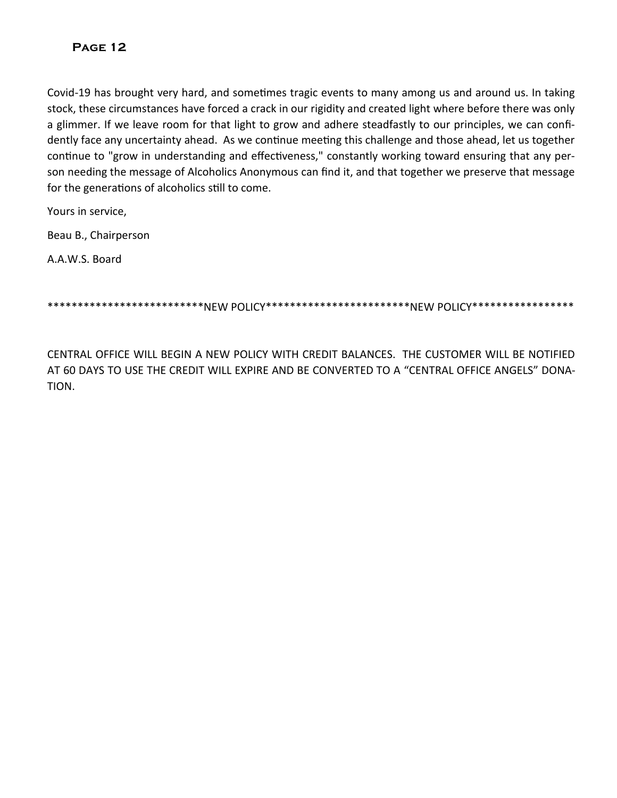Covid-19 has brought very hard, and sometimes tragic events to many among us and around us. In taking stock, these circumstances have forced a crack in our rigidity and created light where before there was only a glimmer. If we leave room for that light to grow and adhere steadfastly to our principles, we can confidently face any uncertainty ahead. As we continue meeting this challenge and those ahead, let us together continue to "grow in understanding and effectiveness," constantly working toward ensuring that any person needing the message of Alcoholics Anonymous can find it, and that together we preserve that message for the generations of alcoholics still to come.

Yours in service,

Beau B., Chairperson

A.A.W.S. Board

\*\*\*\*\*\*\*\*\*\*\*\*\*\*\*\*\*\*\*\*\*\*\*\*\*NEW POLICY\*\*\*\*\*\*\*\*\*\*\*\*\*\*\*\*\*\*\*\*\*\*NEW POLICY\*\*\*\*\*\*\*\*\*\*\*\*\*\*

CENTRAL OFFICE WILL BEGIN A NEW POLICY WITH CREDIT BALANCES. THE CUSTOMER WILL BE NOTIFIED AT 60 DAYS TO USE THE CREDIT WILL EXPIRE AND BE CONVERTED TO A "CENTRAL OFFICE ANGELS" DONA-TION.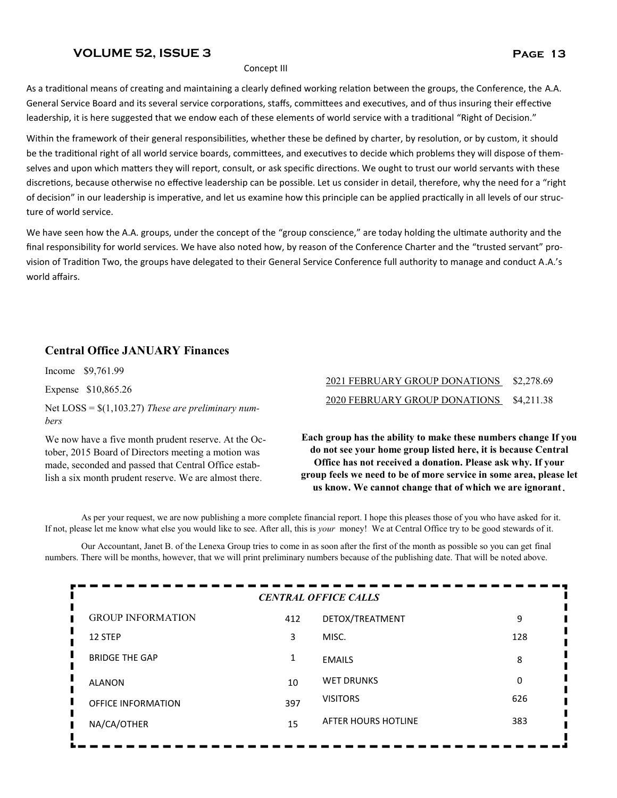#### **VOLUME 52, ISSUE 3 Page 13**

As a traditional means of creating and maintaining a clearly defined working relation between the groups, the Conference, the A.A. General Service Board and its several service corporations, staffs, committees and executives, and of thus insuring their effective leadership, it is here suggested that we endow each of these elements of world service with a traditional "Right of Decision."

Within the framework of their general responsibilities, whether these be defined by charter, by resolution, or by custom, it should be the traditional right of all world service boards, committees, and executives to decide which problems they will dispose of themselves and upon which matters they will report, consult, or ask specific directions. We ought to trust our world servants with these discretions, because otherwise no effective leadership can be possible. Let us consider in detail, therefore, why the need for a "right of decision" in our leadership is imperative, and let us examine how this principle can be applied practically in all levels of our structure of world service.

We have seen how the A.A. groups, under the concept of the "group conscience," are today holding the ultimate authority and the final responsibility for world services. We have also noted how, by reason of the Conference Charter and the "trusted servant" provision of Tradition Two, the groups have delegated to their General Service Conference full authority to manage and conduct A.A.'s world affairs.

#### **Central Office JANUARY Finances**

Income \$9,761.99

Expense \$10,865.26

Net LOSS = \$(1,103.27) *These are preliminary numbers*

We now have a five month prudent reserve. At the October, 2015 Board of Directors meeting a motion was made, seconded and passed that Central Office establish a six month prudent reserve. We are almost there.

#### 2021 FEBRUARY GROUP DONATIONS \$2,278.69 2020 FEBRUARY GROUP DONATIONS \$4,211.38

**Each group has the ability to make these numbers change If you do not see your home group listed here, it is because Central Office has not received a donation. Please ask why. If your group feels we need to be of more service in some area, please let us know. We cannot change that of which we are ignorant.** 

As per your request, we are now publishing a more complete financial report. I hope this pleases those of you who have asked for it. If not, please let me know what else you would like to see. After all, this is *your* money! We at Central Office try to be good stewards of it.

Our Accountant, Janet B. of the Lenexa Group tries to come in as soon after the first of the month as possible so you can get final numbers. There will be months, however, that we will print preliminary numbers because of the publishing date. That will be noted above.

| <b>CENTRAL OFFICE CALLS</b> |     |                     |     |  |  |
|-----------------------------|-----|---------------------|-----|--|--|
| <b>GROUP INFORMATION</b>    | 412 | DETOX/TREATMENT     | 9   |  |  |
| Ц<br>12 STEP                | 3   | MISC.               | 128 |  |  |
| L<br><b>BRIDGE THE GAP</b>  | 1   | <b>EMAILS</b>       | 8   |  |  |
| <b>ALANON</b>               | 10  | <b>WET DRUNKS</b>   | 0   |  |  |
| <b>OFFICE INFORMATION</b>   | 397 | <b>VISITORS</b>     | 626 |  |  |
| NA/CA/OTHER                 | 15  | AFTER HOURS HOTLINE | 383 |  |  |